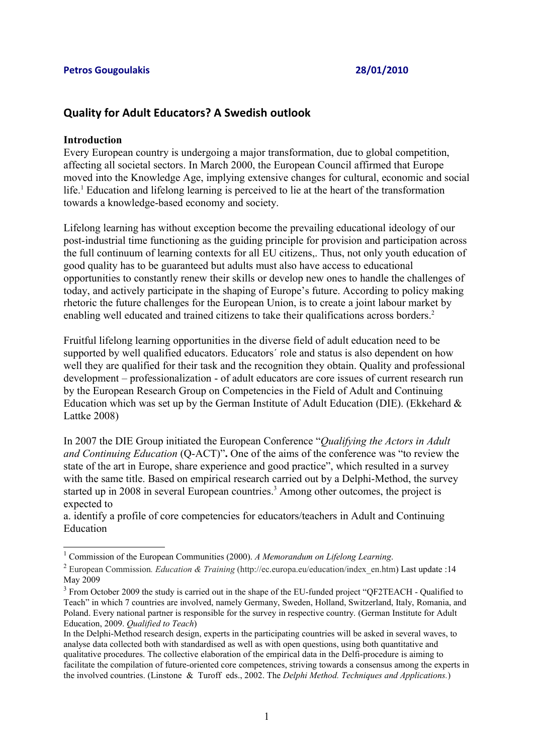## **Quality for Adult Educators? A Swedish outlook**

#### **Introduction**

Every European country is undergoing a major transformation, due to global competition, affecting all societal sectors. In March 2000, the European Council affirmed that Europe moved into the Knowledge Age, implying extensive changes for cultural, economic and social life.<sup>[1](#page-0-0)</sup> Education and lifelong learning is perceived to lie at the heart of the transformation towards a knowledge-based economy and society.

Lifelong learning has without exception become the prevailing educational ideology of our post-industrial time functioning as the guiding principle for provision and participation across the full continuum of learning contexts for all EU citizens,. Thus, not only youth education of good quality has to be guaranteed but adults must also have access to educational opportunities to constantly renew their skills or develop new ones to handle the challenges of today, and actively participate in the shaping of Europe's future. According to policy making rhetoric the future challenges for the European Union, is to create a joint labour market by enabling well educated and trained citizens to take their qualifications across borders.<sup>[2](#page-0-1)</sup>

Fruitful lifelong learning opportunities in the diverse field of adult education need to be supported by well qualified educators. Educators´ role and status is also dependent on how well they are qualified for their task and the recognition they obtain. Quality and professional development – professionalization - of adult educators are core issues of current research run by the European Research Group on Competencies in the Field of Adult and Continuing Education which was set up by the German Institute of Adult Education (DIE). (Ekkehard  $\&$ Lattke 2008)

In 2007 the DIE Group initiated the European Conference "*Qualifying the Actors in Adult and Continuing Education* (Q-ACT)"**.** One of the aims of the conference was "to review the state of the art in Europe, share experience and good practice", which resulted in a survey with the same title. Based on empirical research carried out by a Delphi-Method, the survey started up in 2008 in several European countries. [3](#page-0-2) Among other outcomes, the project is expected to

a. identify a profile of core competencies for educators/teachers in Adult and Continuing Education

<span id="page-0-0"></span><sup>1</sup> Commission of the European Communities (2000). *A Memorandum on Lifelong Learning*.

<span id="page-0-1"></span><sup>&</sup>lt;sup>2</sup> European Commission. *Education & Training* (http://ec.europa.eu/education/index\_en.htm) Last update :14 May 2009

<span id="page-0-2"></span> $3$  From October 2009 the study is carried out in the shape of the EU-funded project "QF2TEACH - Qualified to Teach" in which 7 countries are involved, namely Germany, Sweden, Holland, Switzerland, Italy, Romania, and Poland. Every national partner is responsible for the survey in respective country. (German Institute for Adult Education, 2009. *Qualified to Teach*)

In the Delphi-Method research design, experts in the participating countries will be asked in several waves, to analyse data collected both with standardised as well as with open questions, using both quantitative and qualitative procedures. The collective elaboration of the empirical data in the Delfi-procedure is aiming to facilitate the compilation of future-oriented core competences, striving towards a consensus among the experts in the involved countries. (Linstone & Turoff eds., 2002. The *Delphi Method. Techniques and Applications.*)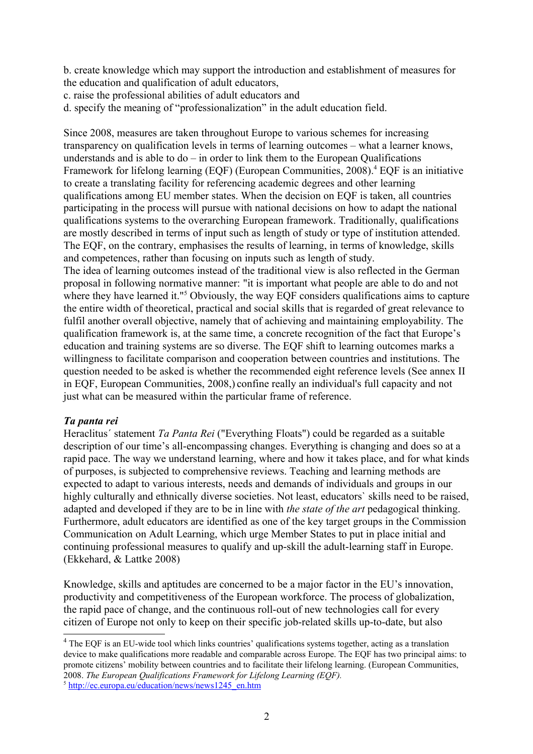b. create knowledge which may support the introduction and establishment of measures for the education and qualification of adult educators,

c. raise the professional abilities of adult educators and

d. specify the meaning of "professionalization" in the adult education field.

Since 2008, measures are taken throughout Europe to various schemes for increasing transparency on qualification levels in terms of learning outcomes – what a learner knows, understands and is able to  $do - in$  order to link them to the European Qualifications Framework for lifelong learning (EQF) (European Communities, 2008). [4](#page-1-0) EQF is an initiative to create a translating facility for referencing [academic degrees](http://en.wikipedia.org/wiki/Academic_degree) and other learning [qualifications](http://en.wikipedia.org/wiki/Qualification) among EU member states. When the decision on EQF is taken, all countries participating in the process will pursue with national decisions on how to adapt the national qualifications systems to the overarching European framework. Traditionally, qualifications are mostly described in terms of input such as length of study or type of institution attended. The EQF, on the contrary, emphasises the results of learning, in terms of knowledge, skills and competences, rather than focusing on inputs such as length of study.

The idea of learning outcomes instead of the traditional view is also reflected in the German proposal in following normative manner: "it is important what people are able to do and not where they have learned it."<sup>[5](#page-1-1)</sup> Obviously, the way EQF considers qualifications aims to capture the entire width of theoretical, practical and social skills that is regarded of great relevance to fulfil another overall objective, namely that of achieving and maintaining employability. The qualification framework is, at the same time, a concrete recognition of the fact that Europe's education and training systems are so diverse. The EQF shift to learning outcomes marks a willingness to facilitate comparison and cooperation between countries and institutions. The question needed to be asked is whether the recommended eight reference levels (See annex II in EQF, European Communities, 2008,) confine really an individual's full capacity and not just what can be measured within the particular frame of reference.

## *Ta panta rei*

Heraclitus´ statement *Ta Panta Rei* ("Everything Floats") could be regarded as a suitable description of our time's all-encompassing changes. Everything is changing and does so at a rapid pace. The way we understand learning, where and how it takes place, and for what kinds of purposes, is subjected to comprehensive reviews. Teaching and learning methods are expected to adapt to various interests, needs and demands of individuals and groups in our highly culturally and ethnically diverse societies. Not least, educators' skills need to be raised, adapted and developed if they are to be in line with *the state of the art* pedagogical thinking. Furthermore, adult educators are identified as one of the key target groups in the Commission Communication on Adult Learning, which urge Member States to put in place initial and continuing professional measures to qualify and up-skill the adult-learning staff in Europe. (Ekkehard, & Lattke 2008)

Knowledge, skills and aptitudes are concerned to be a major factor in the EU's innovation, productivity and competitiveness of the European workforce. The process of globalization, the rapid pace of change, and the continuous roll-out of new technologies call for every citizen of Europe not only to keep on their specific job-related skills up-to-date, but also

<span id="page-1-0"></span><sup>&</sup>lt;sup>4</sup> The EQF is an EU-wide tool which links countries' qualifications systems together, acting as a translation device to make qualifications more readable and comparable across Europe. The EQF has two principal aims: to promote citizens' mobility between countries and to facilitate their lifelong learning. (European Communities, 2008. *The European Qualifications Framework for Lifelong Learning (EQF).*

<span id="page-1-1"></span><sup>&</sup>lt;sup>5</sup> [http://ec.europa.eu/education/news/news1245\\_en.htm](http://ec.europa.eu/education/news/news1245_en.htm)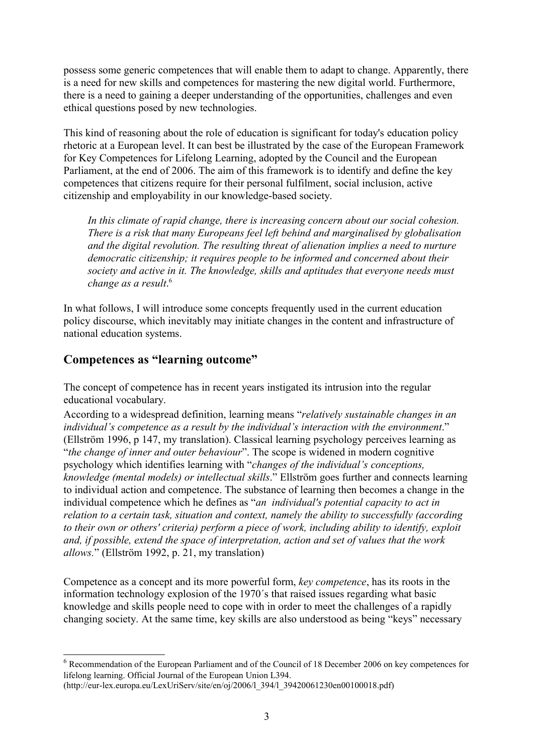possess some generic competences that will enable them to adapt to change. Apparently, there is a need for new skills and competences for mastering the new digital world. Furthermore, there is a need to gaining a deeper understanding of the opportunities, challenges and even ethical questions posed by new technologies.

This kind of reasoning about the role of education is significant for today's education policy rhetoric at a European level. It can best be illustrated by the case of the European Framework for Key Competences for Lifelong Learning, adopted by the Council and the European Parliament, at the end of 2006. The aim of this framework is to identify and define the key competences that citizens require for their personal fulfilment, social inclusion, active citizenship and employability in our knowledge-based society.

*In this climate of rapid change, there is increasing concern about our social cohesion. There is a risk that many Europeans feel left behind and marginalised by globalisation and the digital revolution. The resulting threat of alienation implies a need to nurture democratic citizenship; it requires people to be informed and concerned about their society and active in it. The knowledge, skills and aptitudes that everyone needs must change as a result*. [6](#page-2-0)

In what follows, I will introduce some concepts frequently used in the current education policy discourse, which inevitably may initiate changes in the content and infrastructure of national education systems.

## **Competences as "learning outcome"**

The concept of competence has in recent years instigated its intrusion into the regular educational vocabulary.

According to a widespread definition, learning means "*relatively sustainable changes in an individual's competence as a result by the individual's interaction with the environment*." (Ellström 1996, p 147, my translation). Classical learning psychology perceives learning as "*the change of inner and outer behaviour*". The scope is widened in modern cognitive psychology which identifies learning with "*changes of the individual's conceptions, knowledge (mental models) or intellectual skills*." Ellström goes further and connects learning to individual action and competence. The substance of learning then becomes a change in the individual competence which he defines as "*an individual's potential capacity to act in relation to a certain task, situation and context, namely the ability to successfully (according to their own or others' criteria) perform a piece of work, including ability to identify, exploit and, if possible, extend the space of interpretation, action and set of values that the work allows.*" (Ellström 1992, p. 21, my translation)

Competence as a concept and its more powerful form, *key competence*, has its roots in the information technology explosion of the 1970´s that raised issues regarding what basic knowledge and skills people need to cope with in order to meet the challenges of a rapidly changing society. At the same time, key skills are also understood as being "keys" necessary

```
(http://eur-lex.europa.eu/LexUriServ/site/en/oj/2006/l_394/l_39420061230en00100018.pdf)
```
<span id="page-2-0"></span><sup>6</sup> Recommendation of the European Parliament and of the Council of 18 December 2006 on key competences for lifelong learning. Official Journal of the European Union L394.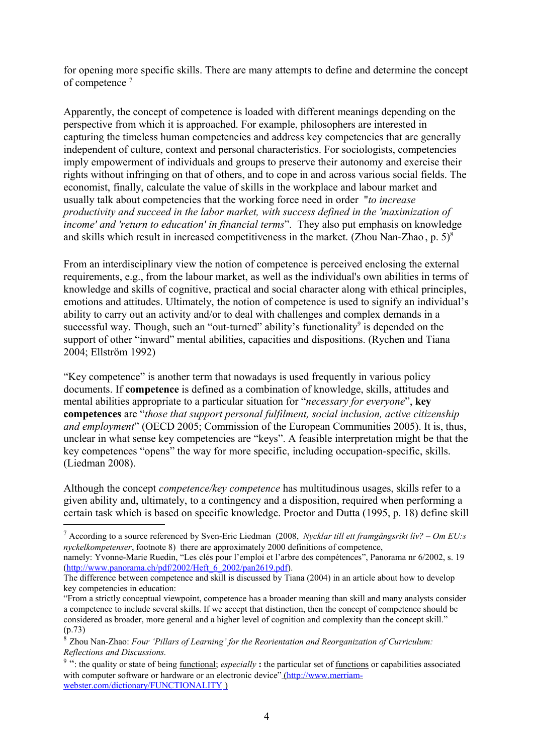for opening more specific skills. There are many attempts to define and determine the concept of competence<sup>[7](#page-3-0)</sup>

Apparently, the concept of competence is loaded with different meanings depending on the perspective from which it is approached. For example, philosophers are interested in capturing the timeless human competencies and address key competencies that are generally independent of culture, context and personal characteristics. For sociologists, competencies imply empowerment of individuals and groups to preserve their autonomy and exercise their rights without infringing on that of others, and to cope in and across various social fields. The economist, finally, calculate the value of skills in the workplace and labour market and usually talk about competencies that the working force need in order "*to increase productivity and succeed in the labor market, with success defined in the 'maximization of income' and 'return to education' in financial terms*". They also put emphasis on knowledge and skills which result in increased competitiveness in the market. (Zhou Nan-Zhao, p.  $5)^8$  $5)^8$ )

From an interdisciplinary view the notion of competence is perceived enclosing the external requirements, e.g., from the labour market, as well as the individual's own abilities in terms of knowledge and skills of cognitive, practical and social character along with ethical principles, emotions and attitudes. Ultimately, the notion of competence is used to signify an individual's ability to carry out an activity and/or to deal with challenges and complex demands in a successful way. Though, such an "out-turned" ability's functionality<sup>[9](#page-3-2)</sup> is depended on the support of other "inward" mental abilities, capacities and dispositions. (Rychen and Tiana 2004; Ellström 1992)

"Key competence" is another term that nowadays is used frequently in various policy documents. If **competence** is defined as a combination of knowledge, skills, attitudes and mental abilities appropriate to a particular situation for "*necessary for everyone*", **key competences** are "*those that support personal fulfilment, social inclusion, active citizenship and employment*" (OECD 2005; Commission of the European Communities 2005). It is, thus, unclear in what sense key competencies are "keys". A feasible interpretation might be that the key competences "opens" the way for more specific, including occupation-specific, skills. (Liedman 2008).

Although the concept *competence/key competence* has multitudinous usages, skills refer to a given ability and, ultimately, to a contingency and a disposition, required when performing a certain task which is based on specific knowledge. Proctor and Dutta (1995, p. 18) define skill

namely: Yvonne-Marie Ruedin, "Les clés pour l'emploi et l'arbre des compétences", Panorama nr 6/2002, s. 19 [\(http://www.panorama.ch/pdf/2002/Heft\\_6\\_2002/pan2619.pdf\)](http://www.panorama.ch/pdf/2002/Heft_6_2002/pan2619.pdf).

<span id="page-3-0"></span><sup>7</sup> According to a source referenced by Sven-Eric Liedman (2008, *Nycklar till ett framgångsrikt liv? – Om EU:s nyckelkompetenser*, footnote 8) there are approximately 2000 definitions of competence,

The difference between competence and skill is discussed by Tiana (2004) in an article about how to develop key competencies in education:

<sup>&</sup>quot;From a strictly conceptual viewpoint, competence has a broader meaning than skill and many analysts consider a competence to include several skills. If we accept that distinction, then the concept of competence should be considered as broader, more general and a higher level of cognition and complexity than the concept skill." (p.73)

<span id="page-3-1"></span><sup>8</sup> Zhou Nan-Zhao: *Four 'Pillars of Learning' for the Reorientation and Reorganization of Curriculum: Reflections and Discussions.* 

<span id="page-3-2"></span><sup>&</sup>lt;sup>9</sup> ": the quality or state of being <u>functional</u>; *especially* : the particular set of <u>functions</u> or capabilities associated with computer software or hardware or an electronic device" (http://www.merriam [webster.com/dictionary/FUNCTIONALITY](http://www.merriam-webster.com/dictionary/FUNCTIONALITY) )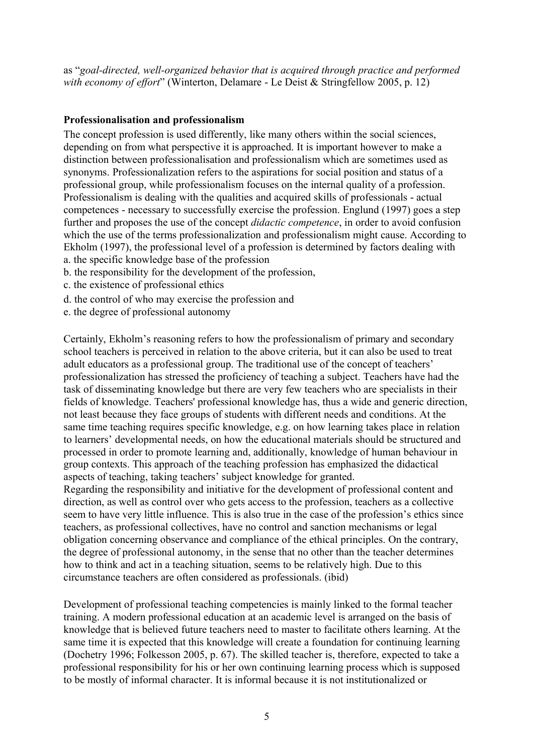as "*goal-directed, well-organized behavior that is acquired through practice and performed with economy of effort*" (Winterton, Delamare - Le Deist & Stringfellow 2005, p. 12)

## **Professionalisation and professionalism**

The concept profession is used differently, like many others within the social sciences, depending on from what perspective it is approached. It is important however to make a distinction between professionalisation and professionalism which are sometimes used as synonyms. Professionalization refers to the aspirations for social position and status of a professional group, while professionalism focuses on the internal quality of a profession. Professionalism is dealing with the qualities and acquired skills of professionals - actual competences - necessary to successfully exercise the profession. Englund (1997) goes a step further and proposes the use of the concept *didactic competence*, in order to avoid confusion which the use of the terms professionalization and professionalism might cause. According to Ekholm (1997), the professional level of a profession is determined by factors dealing with a. the specific knowledge base of the profession

- b. the responsibility for the development of the profession,
- c. the existence of professional ethics
- d. the control of who may exercise the profession and
- e. the degree of professional autonomy

Certainly, Ekholm's reasoning refers to how the professionalism of primary and secondary school teachers is perceived in relation to the above criteria, but it can also be used to treat adult educators as a professional group. The traditional use of the concept of teachers' professionalization has stressed the proficiency of teaching a subject. Teachers have had the task of disseminating knowledge but there are very few teachers who are specialists in their fields of knowledge. Teachers' professional knowledge has, thus a wide and generic direction, not least because they face groups of students with different needs and conditions. At the same time teaching requires specific knowledge, e.g. on how learning takes place in relation to learners' developmental needs, on how the educational materials should be structured and processed in order to promote learning and, additionally, knowledge of human behaviour in group contexts. This approach of the teaching profession has emphasized the didactical aspects of teaching, taking teachers' subject knowledge for granted.

Regarding the responsibility and initiative for the development of professional content and direction, as well as control over who gets access to the profession, teachers as a collective seem to have very little influence. This is also true in the case of the profession's ethics since teachers, as professional collectives, have no control and sanction mechanisms or legal obligation concerning observance and compliance of the ethical principles. On the contrary, the degree of professional autonomy, in the sense that no other than the teacher determines how to think and act in a teaching situation, seems to be relatively high. Due to this circumstance teachers are often considered as professionals. (ibid)

Development of professional teaching competencies is mainly linked to the formal teacher training. A modern professional education at an academic level is arranged on the basis of knowledge that is believed future teachers need to master to facilitate others learning. At the same time it is expected that this knowledge will create a foundation for continuing learning (Dochetry 1996; Folkesson 2005, p. 67). The skilled teacher is, therefore, expected to take a professional responsibility for his or her own continuing learning process which is supposed to be mostly of informal character. It is informal because it is not institutionalized or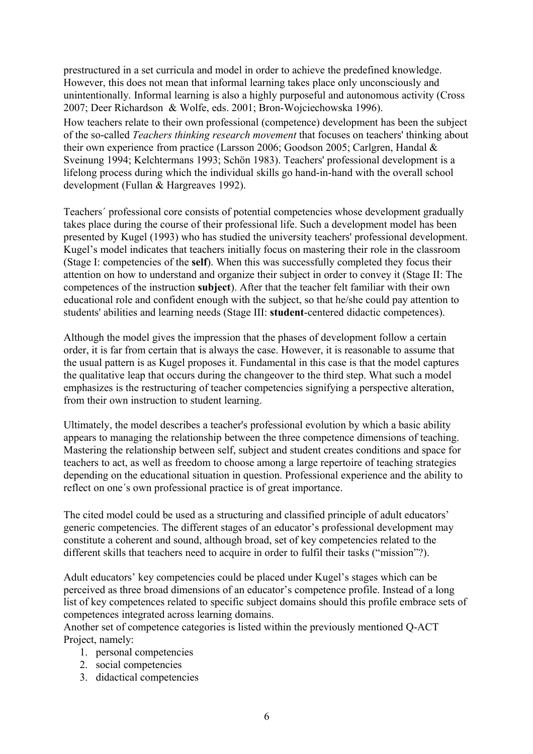prestructured in a set curricula and model in order to achieve the predefined knowledge. However, this does not mean that informal learning takes place only unconsciously and unintentionally. Informal learning is also a highly purposeful and autonomous activity (Cross 2007; Deer Richardson & Wolfe, eds. 2001; Bron-Wojciechowska 1996). How teachers relate to their own professional (competence) development has been the subject of the so-called *Teachers thinking research movement* that focuses on teachers' thinking about their own experience from practice (Larsson 2006; Goodson 2005; Carlgren, Handal & Sveinung 1994; Kelchtermans 1993; Schön 1983). Teachers' professional development is a lifelong process during which the individual skills go hand-in-hand with the overall school development (Fullan & Hargreaves 1992).

Teachers´ professional core consists of potential competencies whose development gradually takes place during the course of their professional life. Such a development model has been presented by Kugel (1993) who has studied the university teachers' professional development. Kugel's model indicates that teachers initially focus on mastering their role in the classroom (Stage I: competencies of the **self**). When this was successfully completed they focus their attention on how to understand and organize their subject in order to convey it (Stage II: The competences of the instruction **subject**). After that the teacher felt familiar with their own educational role and confident enough with the subject, so that he/she could pay attention to students' abilities and learning needs (Stage III: **student**-centered didactic competences).

Although the model gives the impression that the phases of development follow a certain order, it is far from certain that is always the case. However, it is reasonable to assume that the usual pattern is as Kugel proposes it. Fundamental in this case is that the model captures the qualitative leap that occurs during the changeover to the third step. What such a model emphasizes is the restructuring of teacher competencies signifying a perspective alteration, from their own instruction to student learning.

Ultimately, the model describes a teacher's professional evolution by which a basic ability appears to managing the relationship between the three competence dimensions of teaching. Mastering the relationship between self, subject and student creates conditions and space for teachers to act, as well as freedom to choose among a large repertoire of teaching strategies depending on the educational situation in question. Professional experience and the ability to reflect on one´s own professional practice is of great importance.

The cited model could be used as a structuring and classified principle of adult educators' generic competencies. The different stages of an educator's professional development may constitute a coherent and sound, although broad, set of key competencies related to the different skills that teachers need to acquire in order to fulfil their tasks ("mission"?).

Adult educators' key competencies could be placed under Kugel's stages which can be perceived as three broad dimensions of an educator's competence profile. Instead of a long list of key competences related to specific subject domains should this profile embrace sets of competences integrated across learning domains.

Another set of competence categories is listed within the previously mentioned Q-ACT Project, namely:

- 1. personal competencies
- 2. social competencies
- 3. didactical competencies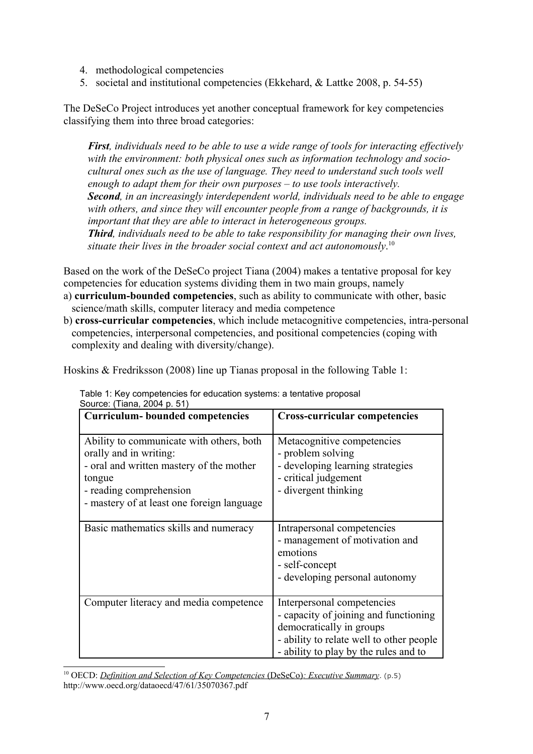- 4. methodological competencies
- 5. societal and institutional competencies (Ekkehard, & Lattke 2008, p. 54-55)

The DeSeCo Project introduces yet another conceptual framework for key competencies classifying them into three broad categories:

*First, individuals need to be able to use a wide range of tools for interacting effectively with the environment: both physical ones such as information technology and sociocultural ones such as the use of language. They need to understand such tools well enough to adapt them for their own purposes – to use tools interactively. Second, in an increasingly interdependent world, individuals need to be able to engage with others, and since they will encounter people from a range of backgrounds, it is important that they are able to interact in heterogeneous groups. Third, individuals need to be able to take responsibility for managing their own lives, situate their lives in the broader social context and act autonomously*. [10](#page-6-0)

Based on the work of the DeSeCo project Tiana (2004) makes a tentative proposal for key competencies for education systems dividing them in two main groups, namely

- a) **curriculum-bounded competencies**, such as ability to communicate with other, basic science/math skills, computer literacy and media competence
- b) **cross-curricular competencies**, which include metacognitive competencies, intra-personal competencies, interpersonal competencies, and positional competencies (coping with complexity and dealing with diversity/change).

Hoskins & Fredriksson (2008) line up Tianas proposal in the following Table 1:

| <b>Curriculum-</b> bounded competencies                                                                                                                                                           | <b>Cross-curricular competencies</b>                                                                                                                                                 |
|---------------------------------------------------------------------------------------------------------------------------------------------------------------------------------------------------|--------------------------------------------------------------------------------------------------------------------------------------------------------------------------------------|
| Ability to communicate with others, both<br>orally and in writing:<br>- oral and written mastery of the mother<br>tongue<br>- reading comprehension<br>- mastery of at least one foreign language | Metacognitive competencies<br>- problem solving<br>- developing learning strategies<br>- critical judgement<br>- divergent thinking                                                  |
| Basic mathematics skills and numeracy                                                                                                                                                             | Intrapersonal competencies<br>- management of motivation and<br>emotions<br>- self-concept<br>- developing personal autonomy                                                         |
| Computer literacy and media competence                                                                                                                                                            | Interpersonal competencies<br>- capacity of joining and functioning<br>democratically in groups<br>- ability to relate well to other people<br>- ability to play by the rules and to |

Table 1: Key competencies for education systems: a tentative proposal Source: (Tiana, 2004 p. 51)

<span id="page-6-0"></span><sup>10</sup> OECD: *[Definition and Selection of Key Competencies](http://www.oecd.org/dataoecd/47/61/35070367.pdf) (DeSeCo): Executive Summary.* (p.5) http://www.oecd.org/dataoecd/47/61/35070367.pdf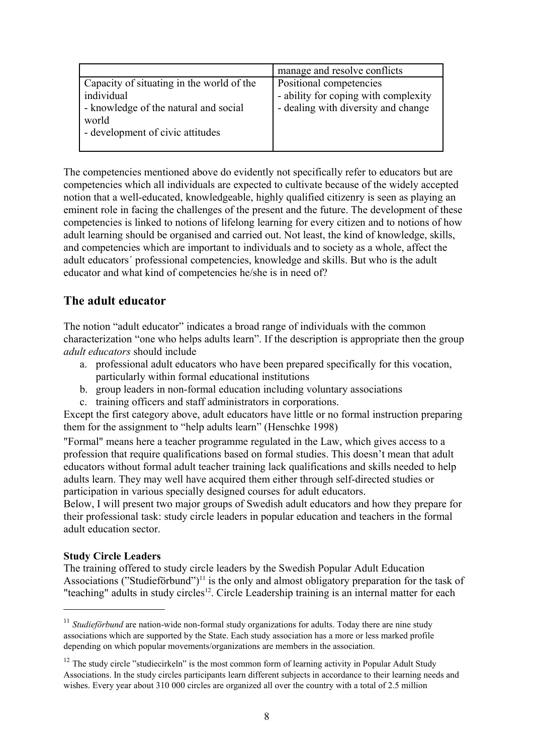|                                                                                                                                               | manage and resolve conflicts                                                                           |
|-----------------------------------------------------------------------------------------------------------------------------------------------|--------------------------------------------------------------------------------------------------------|
| Capacity of situating in the world of the<br>individual<br>- knowledge of the natural and social<br>world<br>- development of civic attitudes | Positional competencies<br>- ability for coping with complexity<br>- dealing with diversity and change |

The competencies mentioned above do evidently not specifically refer to educators but are competencies which all individuals are expected to cultivate because of the widely accepted notion that a well-educated, knowledgeable, highly qualified citizenry is seen as playing an eminent role in facing the challenges of the present and the future. The development of these competencies is linked to notions of lifelong learning for every citizen and to notions of how adult learning should be organised and carried out. Not least, the kind of knowledge, skills, and competencies which are important to individuals and to society as a whole, affect the adult educators´ professional competencies, knowledge and skills. But who is the adult educator and what kind of competencies he/she is in need of?

# **The adult educator**

The notion "adult educator" indicates a broad range of individuals with the common characterization "one who helps adults learn". If the description is appropriate then the group *adult educators* should include

- a. professional adult educators who have been prepared specifically for this vocation, particularly within formal educational institutions
- b. group leaders in non-formal education including voluntary associations
- c. training officers and staff administrators in corporations.

Except the first category above, adult educators have little or no formal instruction preparing them for the assignment to "help adults learn" (Henschke 1998)

"Formal" means here a teacher programme regulated in the Law, which gives access to a profession that require qualifications based on formal studies. This doesn't mean that adult educators without formal adult teacher training lack qualifications and skills needed to help adults learn. They may well have acquired them either through self-directed studies or participation in various specially designed courses for adult educators.

Below, I will present two major groups of Swedish adult educators and how they prepare for their professional task: study circle leaders in popular education and teachers in the formal adult education sector.

## **Study Circle Leaders**

The training offered to study circle leaders by the Swedish Popular Adult Education Associations ("Studieförbund")<sup>[11](#page-7-0)</sup> is the only and almost obligatory preparation for the task of "teaching" adults in study circles<sup>[12](#page-7-1)</sup>. Circle Leadership training is an internal matter for each

<span id="page-7-0"></span><sup>&</sup>lt;sup>11</sup> *Studieförbund* are nation-wide non-formal study organizations for adults. Today there are nine study associations which are supported by the State. Each study association has a more or less marked profile depending on which popular movements/organizations are members in the association.

<span id="page-7-1"></span><sup>&</sup>lt;sup>12</sup> The study circle "studiecirkeln" is the most common form of learning activity in Popular Adult Study Associations. In the study circles participants learn different subjects in accordance to their learning needs and wishes. Every year about 310 000 circles are organized all over the country with a total of 2.5 million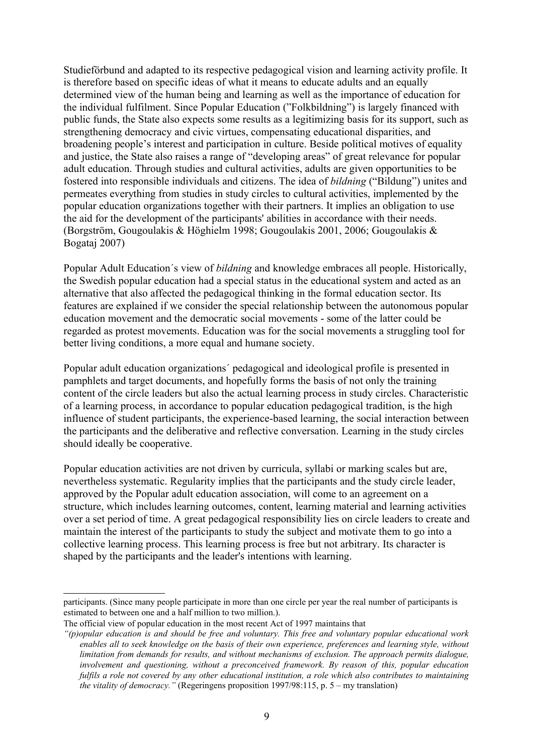Studieförbund and adapted to its respective pedagogical vision and learning activity profile. It is therefore based on specific ideas of what it means to educate adults and an equally determined view of the human being and learning as well as the importance of education for the individual fulfilment. Since Popular Education ("Folkbildning") is largely financed with public funds, the State also expects some results as a legitimizing basis for its support, such as strengthening democracy and civic virtues, compensating educational disparities, and broadening people's interest and participation in culture. Beside political motives of equality and justice, the State also raises a range of "developing areas" of great relevance for popular adult education. Through studies and cultural activities, adults are given opportunities to be fostered into responsible individuals and citizens. The idea of *bildning* ("Bildung") unites and permeates everything from studies in study circles to cultural activities, implemented by the popular education organizations together with their partners. It implies an obligation to use the aid for the development of the participants' abilities in accordance with their needs. (Borgström, Gougoulakis & Höghielm 1998; Gougoulakis 2001, 2006; Gougoulakis & Bogataj 2007)

Popular Adult Education´s view of *bildning* and knowledge embraces all people. Historically, the Swedish popular education had a special status in the educational system and acted as an alternative that also affected the pedagogical thinking in the formal education sector. Its features are explained if we consider the special relationship between the autonomous popular education movement and the democratic social movements - some of the latter could be regarded as protest movements. Education was for the social movements a struggling tool for better living conditions, a more equal and humane society.

Popular adult education organizations´ pedagogical and ideological profile is presented in pamphlets and target documents, and hopefully forms the basis of not only the training content of the circle leaders but also the actual learning process in study circles. Characteristic of a learning process, in accordance to popular education pedagogical tradition, is the high influence of student participants, the experience-based learning, the social interaction between the participants and the deliberative and reflective conversation. Learning in the study circles should ideally be cooperative.

Popular education activities are not driven by curricula, syllabi or marking scales but are, nevertheless systematic. Regularity implies that the participants and the study circle leader, approved by the Popular adult education association, will come to an agreement on a structure, which includes learning outcomes, content, learning material and learning activities over a set period of time. A great pedagogical responsibility lies on circle leaders to create and maintain the interest of the participants to study the subject and motivate them to go into a collective learning process. This learning process is free but not arbitrary. Its character is shaped by the participants and the leader's intentions with learning.

participants. (Since many people participate in more than one circle per year the real number of participants is estimated to between one and a half million to two million.).

The official view of popular education in the most recent Act of 1997 maintains that

*<sup>&</sup>quot;(p)opular education is and should be free and voluntary. This free and voluntary popular educational work enables all to seek knowledge on the basis of their own experience, preferences and learning style, without limitation from demands for results, and without mechanisms of exclusion. The approach permits dialogue, involvement and questioning, without a preconceived framework. By reason of this, popular education fulfils a role not covered by any other educational institution, a role which also contributes to maintaining the vitality of democracy."* (Regeringens proposition 1997/98:115, p. 5 – my translation)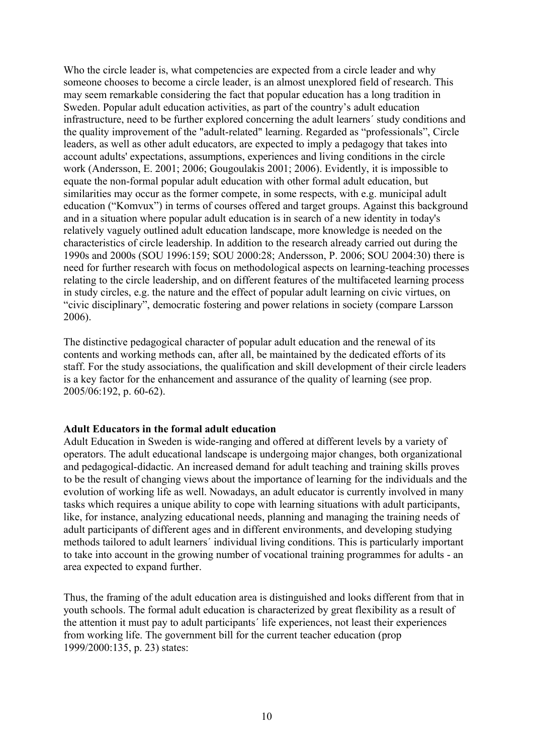Who the circle leader is, what competencies are expected from a circle leader and why someone chooses to become a circle leader, is an almost unexplored field of research. This may seem remarkable considering the fact that popular education has a long tradition in Sweden. Popular adult education activities, as part of the country's adult education infrastructure, need to be further explored concerning the adult learners´ study conditions and the quality improvement of the "adult-related" learning. Regarded as "professionals", Circle leaders, as well as other adult educators, are expected to imply a pedagogy that takes into account adults' expectations, assumptions, experiences and living conditions in the circle work (Andersson, E. 2001; 2006; Gougoulakis 2001; 2006). Evidently, it is impossible to equate the non-formal popular adult education with other formal adult education, but similarities may occur as the former compete, in some respects, with e.g. municipal adult education ("Komvux") in terms of courses offered and target groups. Against this background and in a situation where popular adult education is in search of a new identity in today's relatively vaguely outlined adult education landscape, more knowledge is needed on the characteristics of circle leadership. In addition to the research already carried out during the 1990s and 2000s (SOU 1996:159; SOU 2000:28; Andersson, P. 2006; SOU 2004:30) there is need for further research with focus on methodological aspects on learning-teaching processes relating to the circle leadership, and on different features of the multifaceted learning process in study circles, e.g. the nature and the effect of popular adult learning on civic virtues, on "civic disciplinary", democratic fostering and power relations in society (compare Larsson 2006).

The distinctive pedagogical character of popular adult education and the renewal of its contents and working methods can, after all, be maintained by the dedicated efforts of its staff. For the study associations, the qualification and skill development of their circle leaders is a key factor for the enhancement and assurance of the quality of learning (see prop. 2005/06:192, p. 60-62).

### **Adult Educators in the formal adult education**

Adult Education in Sweden is wide-ranging and offered at different levels by a variety of operators. The adult educational landscape is undergoing major changes, both organizational and pedagogical-didactic. An increased demand for adult teaching and training skills proves to be the result of changing views about the importance of learning for the individuals and the evolution of working life as well. Nowadays, an adult educator is currently involved in many tasks which requires a unique ability to cope with learning situations with adult participants, like, for instance, analyzing educational needs, planning and managing the training needs of adult participants of different ages and in different environments, and developing studying methods tailored to adult learners´ individual living conditions. This is particularly important to take into account in the growing number of vocational training programmes for adults - an area expected to expand further.

Thus, the framing of the adult education area is distinguished and looks different from that in youth schools. The formal adult education is characterized by great flexibility as a result of the attention it must pay to adult participants´ life experiences, not least their experiences from working life. The government bill for the current teacher education (prop 1999/2000:135, p. 23) states: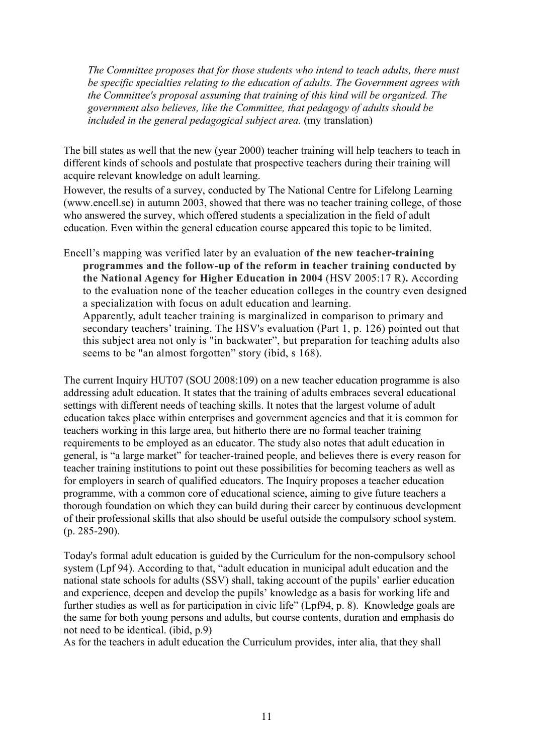*The Committee proposes that for those students who intend to teach adults, there must be specific specialties relating to the education of adults. The Government agrees with the Committee's proposal assuming that training of this kind will be organized. The government also believes, like the Committee, that pedagogy of adults should be included in the general pedagogical subject area.* (my translation)

The bill states as well that the new (year 2000) teacher training will help teachers to teach in different kinds of schools and postulate that prospective teachers during their training will acquire relevant knowledge on adult learning.

However, the results of a survey, conducted by The National Centre for Lifelong Learning (www.encell.se) in autumn 2003, showed that there was no teacher training college, of those who answered the survey, which offered students a specialization in the field of adult education. Even within the general education course appeared this topic to be limited.

Encell's mapping was verified later by an evaluation **of the new teacher-training programmes and the follow-up of the reform in teacher training conducted by the National Agency for Higher Education in 2004** (HSV 2005:17 R)**.** According to the evaluation none of the teacher education colleges in the country even designed a specialization with focus on adult education and learning. Apparently, adult teacher training is marginalized in comparison to primary and secondary teachers' training. The HSV's evaluation (Part 1, p. 126) pointed out that this subject area not only is "in backwater", but preparation for teaching adults also seems to be "an almost forgotten" story (ibid, s 168).

The current Inquiry HUT07 (SOU 2008:109) on a new teacher education programme is also addressing adult education. It states that the training of adults embraces several educational settings with different needs of teaching skills. It notes that the largest volume of adult education takes place within enterprises and government agencies and that it is common for teachers working in this large area, but hitherto there are no formal teacher training requirements to be employed as an educator. The study also notes that adult education in general, is "a large market" for teacher-trained people, and believes there is every reason for teacher training institutions to point out these possibilities for becoming teachers as well as for employers in search of qualified educators. The Inquiry proposes a teacher education programme, with a common core of educational science, aiming to give future teachers a thorough foundation on which they can build during their career by continuous development of their professional skills that also should be useful outside the compulsory school system. (p. 285-290).

Today's formal adult education is guided by the Curriculum for the non-compulsory school system (Lpf 94). According to that, "adult education in municipal adult education and the national state schools for adults (SSV) shall, taking account of the pupils' earlier education and experience, deepen and develop the pupils' knowledge as a basis for working life and further studies as well as for participation in civic life" (Lpf94, p. 8). Knowledge goals are the same for both young persons and adults, but course contents, duration and emphasis do not need to be identical. (ibid, p.9)

As for the teachers in adult education the Curriculum provides, inter alia, that they shall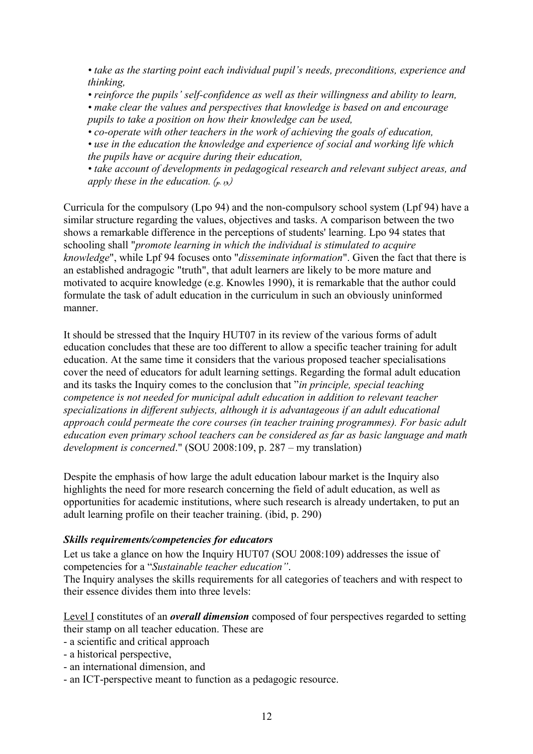*• take as the starting point each individual pupil's needs, preconditions, experience and thinking,*

*• reinforce the pupils' self-confidence as well as their willingness and ability to learn,*

*• make clear the values and perspectives that knowledge is based on and encourage pupils to take a position on how their knowledge can be used,*

*• co-operate with other teachers in the work of achieving the goals of education,*

*• use in the education the knowledge and experience of social and working life which the pupils have or acquire during their education,*

*• take account of developments in pedagogical research and relevant subject areas, and apply these in the education.*  $(p, 13)$ 

Curricula for the compulsory (Lpo 94) and the non-compulsory school system (Lpf 94) have a similar structure regarding the values, objectives and tasks. A comparison between the two shows a remarkable difference in the perceptions of students' learning. Lpo 94 states that schooling shall "*promote learning in which the individual is stimulated to acquire knowledge*", while Lpf 94 focuses onto "*disseminate information*". Given the fact that there is an established andragogic "truth", that adult learners are likely to be more mature and motivated to acquire knowledge (e.g. Knowles 1990), it is remarkable that the author could formulate the task of adult education in the curriculum in such an obviously uninformed manner.

It should be stressed that the Inquiry HUT07 in its review of the various forms of adult education concludes that these are too different to allow a specific teacher training for adult education. At the same time it considers that the various proposed teacher specialisations cover the need of educators for adult learning settings. Regarding the formal adult education and its tasks the Inquiry comes to the conclusion that "*in principle, special teaching competence is not needed for municipal adult education in addition to relevant teacher specializations in different subjects, although it is advantageous if an adult educational approach could permeate the core courses (in teacher training programmes). For basic adult education even primary school teachers can be considered as far as basic language and math development is concerned*." (SOU 2008:109, p. 287 – my translation)

Despite the emphasis of how large the adult education labour market is the Inquiry also highlights the need for more research concerning the field of adult education, as well as opportunities for academic institutions, where such research is already undertaken, to put an adult learning profile on their teacher training. (ibid, p. 290)

## *Skills requirements/competencies for educators*

Let us take a glance on how the Inquiry HUT07 (SOU 2008:109) addresses the issue of competencies for a "*Sustainable teacher education"*.

The Inquiry analyses the skills requirements for all categories of teachers and with respect to their essence divides them into three levels:

 Level I constitutes of an *overall dimension* composed of four perspectives regarded to setting their stamp on all teacher education. These are

- a scientific and critical approach
- a historical perspective,
- an international dimension, and
- an ICT-perspective meant to function as a pedagogic resource.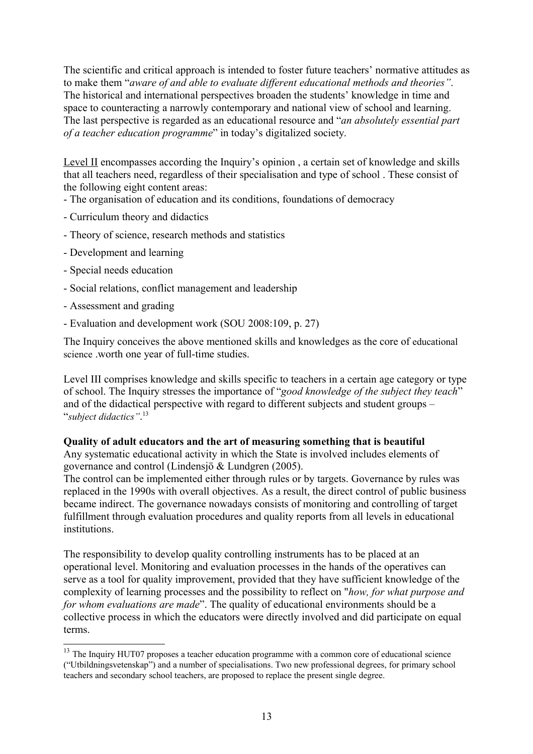The scientific and critical approach is intended to foster future teachers' normative attitudes as to make them "*aware of and able to evaluate different educational methods and theories"*. The historical and international perspectives broaden the students' knowledge in time and space to counteracting a narrowly contemporary and national view of school and learning. The last perspective is regarded as an educational resource and "*an absolutely essential part of a teacher education programme*" in today's digitalized society.

Level II encompasses according the Inquiry's opinion, a certain set of knowledge and skills that all teachers need, regardless of their specialisation and type of school . These consist of the following eight content areas:

- The organisation of education and its conditions, foundations of democracy

- Curriculum theory and didactics
- Theory of science, research methods and statistics
- Development and learning
- Special needs education
- Social relations, conflict management and leadership
- Assessment and grading
- Evaluation and development work (SOU 2008:109, p. 27)

The Inquiry conceives the above mentioned skills and knowledges as the core of educational science .worth one year of full-time studies.

Level III comprises knowledge and skills specific to teachers in a certain age category or type of school. The Inquiry stresses the importance of "*good knowledge of the subject they teach*" and of the didactical perspective with regard to different subjects and student groups – "*subject didactics"*. [13](#page-12-0)

## **Quality of adult educators and the art of measuring something that is beautiful**

Any systematic educational activity in which the State is involved includes elements of governance and control (Lindensjö & Lundgren (2005).

The control can be implemented either through rules or by targets. Governance by rules was replaced in the 1990s with overall objectives. As a result, the direct control of public business became indirect. The governance nowadays consists of monitoring and controlling of target fulfillment through evaluation procedures and quality reports from all levels in educational institutions.

The responsibility to develop quality controlling instruments has to be placed at an operational level. Monitoring and evaluation processes in the hands of the operatives can serve as a tool for quality improvement, provided that they have sufficient knowledge of the complexity of learning processes and the possibility to reflect on "*how, for what purpose and for whom evaluations are made*". The quality of educational environments should be a collective process in which the educators were directly involved and did participate on equal terms.

<span id="page-12-0"></span><sup>&</sup>lt;sup>13</sup> The Inquiry HUT07 proposes a teacher education programme with a common core of educational science ("Utbildningsvetenskap") and a number of specialisations. Two new professional degrees, for primary school teachers and secondary school teachers, are proposed to replace the present single degree.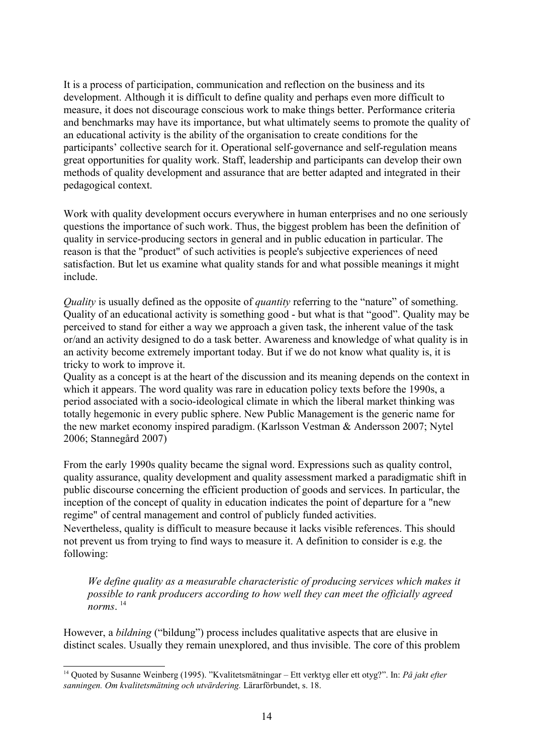It is a process of participation, communication and reflection on the business and its development. Although it is difficult to define quality and perhaps even more difficult to measure, it does not discourage conscious work to make things better. Performance criteria and benchmarks may have its importance, but what ultimately seems to promote the quality of an educational activity is the ability of the organisation to create conditions for the participants' collective search for it. Operational self-governance and self-regulation means great opportunities for quality work. Staff, leadership and participants can develop their own methods of quality development and assurance that are better adapted and integrated in their pedagogical context.

Work with quality development occurs everywhere in human enterprises and no one seriously questions the importance of such work. Thus, the biggest problem has been the definition of quality in service-producing sectors in general and in public education in particular. The reason is that the "product" of such activities is people's subjective experiences of need satisfaction. But let us examine what quality stands for and what possible meanings it might include.

*Quality* is usually defined as the opposite of *quantity* referring to the "nature" of something. Quality of an educational activity is something good - but what is that "good". Quality may be perceived to stand for either a way we approach a given task, the inherent value of the task or/and an activity designed to do a task better. Awareness and knowledge of what quality is in an activity become extremely important today. But if we do not know what quality is, it is tricky to work to improve it.

Quality as a concept is at the heart of the discussion and its meaning depends on the context in which it appears. The word quality was rare in education policy texts before the 1990s, a period associated with a socio-ideological climate in which the liberal market thinking was totally hegemonic in every public sphere. New Public Management is the generic name for the new market economy inspired paradigm. (Karlsson Vestman & Andersson 2007; Nytel 2006; Stannegård 2007)

From the early 1990s quality became the signal word. Expressions such as quality control, quality assurance, quality development and quality assessment marked a paradigmatic shift in public discourse concerning the efficient production of goods and services. In particular, the inception of the concept of quality in education indicates the point of departure for a "new regime" of central management and control of publicly funded activities.

Nevertheless, quality is difficult to measure because it lacks visible references. This should not prevent us from trying to find ways to measure it. A definition to consider is e.g. the following:

*We define quality as a measurable characteristic of producing services which makes it possible to rank producers according to how well they can meet the officially agreed norms*. [14](#page-13-0)

However, a *bildning* ("bildung") process includes qualitative aspects that are elusive in distinct scales. Usually they remain unexplored, and thus invisible. The core of this problem

<span id="page-13-0"></span><sup>14</sup> Quoted by Susanne Weinberg (1995). "Kvalitetsmätningar – Ett verktyg eller ett otyg?". In: *På jakt efter sanningen. Om kvalitetsmätning och utvärdering.* Lärarförbundet, s. 18.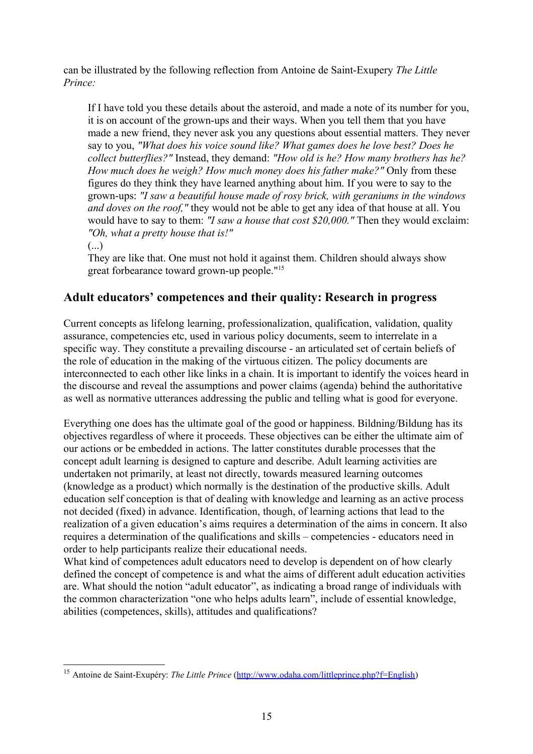can be illustrated by the following reflection from Antoine de Saint-Exupery *The Little Prince:*

If I have told you these details about the asteroid, and made a note of its number for you, it is on account of the grown-ups and their ways. When you tell them that you have made a new friend, they never ask you any questions about essential matters. They never say to you, *"What does his voice sound like? What games does he love best? Does he collect butterflies?"* Instead, they demand: *"How old is he? How many brothers has he? How much does he weigh? How much money does his father make?"* Only from these figures do they think they have learned anything about him. If you were to say to the grown-ups: *"I saw a beautiful house made of rosy brick, with geraniums in the windows and doves on the roof,"* they would not be able to get any idea of that house at all. You would have to say to them: *"I saw a house that cost \$20,000."* Then they would exclaim: *"Oh, what a pretty house that is!"*

(...)

They are like that. One must not hold it against them. Children should always show great forbearance toward grown-up people." [15](#page-14-0)

## **Adult educators' competences and their quality: Research in progress**

Current concepts as lifelong learning, professionalization, qualification, validation, quality assurance, competencies etc, used in various policy documents, seem to interrelate in a specific way. They constitute a prevailing discourse - an articulated set of certain beliefs of the role of education in the making of the virtuous citizen. The policy documents are interconnected to each other like links in a chain. It is important to identify the voices heard in the discourse and reveal the assumptions and power claims (agenda) behind the authoritative as well as normative utterances addressing the public and telling what is good for everyone.

Everything one does has the ultimate goal of the good or happiness. Bildning/Bildung has its objectives regardless of where it proceeds. These objectives can be either the ultimate aim of our actions or be embedded in actions. The latter constitutes durable processes that the concept adult learning is designed to capture and describe. Adult learning activities are undertaken not primarily, at least not directly, towards measured learning outcomes (knowledge as a product) which normally is the destination of the productive skills. Adult education self conception is that of dealing with knowledge and learning as an active process not decided (fixed) in advance. Identification, though, of learning actions that lead to the realization of a given education's aims requires a determination of the aims in concern. It also requires a determination of the qualifications and skills – competencies - educators need in order to help participants realize their educational needs.

What kind of competences adult educators need to develop is dependent on of how clearly defined the concept of competence is and what the aims of different adult education activities are. What should the notion "adult educator", as indicating a broad range of individuals with the common characterization "one who helps adults learn", include of essential knowledge, abilities (competences, skills), attitudes and qualifications?

<span id="page-14-0"></span><sup>15</sup> Antoine de Saint-Exupéry: *The Little Prince* [\(http://www.odaha.com/littleprince.php?f=English\)](http://www.odaha.com/littleprince.php?f=English)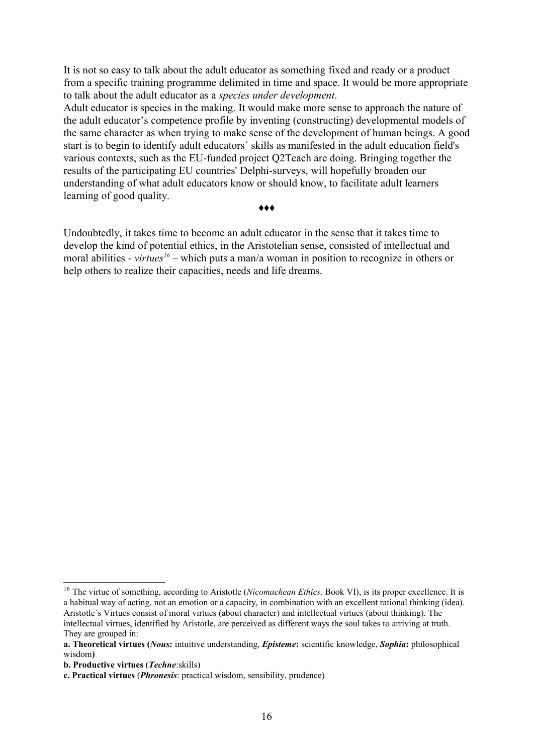It is not so easy to talk about the adult educator as something fixed and ready or a product from a specific training programme delimited in time and space. It would be more appropriate to talk about the adult educator as a *species under development*.

Adult educator is species in the making. It would make more sense to approach the nature of the adult educator's competence profile by inventing (constructing) developmental models of the same character as when trying to make sense of the development of human beings. A good start is to begin to identify adult educators´ skills as manifested in the adult education field's various contexts, such as the EU-funded project Q2Teach are doing. Bringing together the results of the participating EU countries' Delphi-surveys, will hopefully broaden our understanding of what adult educators know or should know, to facilitate adult learners learning of good quality.

#### ♦♦♦

Undoubtedly, it takes time to become an adult educator in the sense that it takes time to develop the kind of potential ethics, in the Aristotelian sense, consisted of intellectual and moral abilities - *virtues[16](#page-15-0)* – which puts a man/a woman in position to recognize in others or help others to realize their capacities, needs and life dreams.

<span id="page-15-0"></span><sup>&</sup>lt;sup>16</sup> The virtue of something, according to Aristotle (*Nicomachean Ethics*, Book VI), is its proper excellence. It is a habitual way of acting, not an emotion or a capacity, in combination with an excellent rational thinking (idea). Aristotle`s Virtues consist of moral virtues (about character) and intellectual virtues (about thinking). The intellectual virtues, identified by Aristotle, are perceived as different ways the soul takes to arriving at truth. They are grouped in:

**a. Theoretical virtues (***Nous***:** intuitive understanding, *Episteme***:** scientific knowledge, *Sophia***:** philosophical wisdom**)**

**b. Productive virtues** (*Techne*:skills)

**c. Practical virtues** (*Phronesis*: practical wisdom, sensibility, prudence)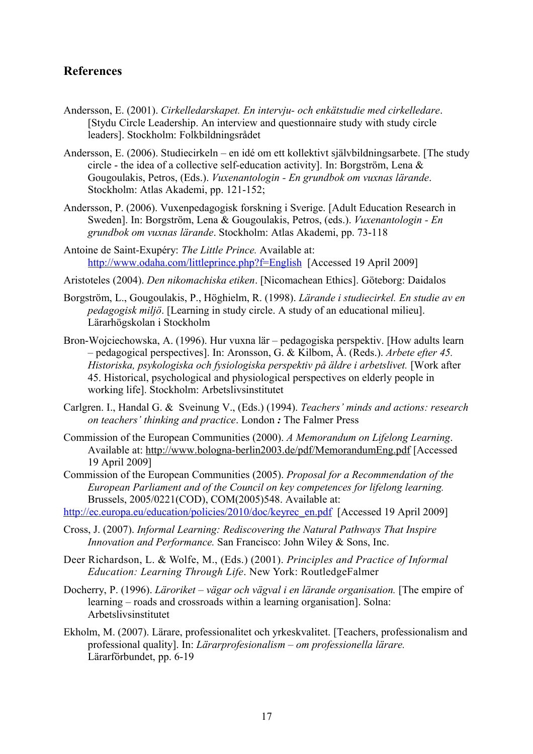## **References**

- Andersson, E. (2001). *Cirkelledarskapet. En intervju- och enkätstudie med cirkelledare*. [Stydu Circle Leadership. An interview and questionnaire study with study circle leaders]. Stockholm: Folkbildningsrådet
- Andersson, E. (2006). Studiecirkeln en idé om ett kollektivt självbildningsarbete. [The study circle - the idea of a collective self-education activity]. In: Borgström, Lena & Gougoulakis, Petros, (Eds.). *Vuxenantologin - En grundbok om vuxnas lärande*. Stockholm: Atlas Akademi, pp. 121-152;
- Andersson, P. (2006). Vuxenpedagogisk forskning i Sverige. [Adult Education Research in Sweden]. In: Borgström, Lena & Gougoulakis, Petros, (eds.). *Vuxenantologin - En grundbok om vuxnas lärande*. Stockholm: Atlas Akademi, pp. 73-118
- Antoine de Saint-Exupéry: *The Little Prince.* Available at: <http://www.odaha.com/littleprince.php?f=English>[Accessed 19 April 2009]
- Aristoteles (2004). *Den nikomachiska etiken*. [Nicomachean Ethics]. Göteborg: Daidalos
- Borgström, L., Gougoulakis, P., Höghielm, R. (1998). *Lärande i studiecirkel. En studie av en pedagogisk miljö*. [Learning in study circle. A study of an educational milieu]. Lärarhögskolan i Stockholm
- Bron-Wojciechowska, A. (1996). Hur vuxna lär pedagogiska perspektiv. [How adults learn – pedagogical perspectives]. In: Aronsson, G. & Kilbom, Å. (Reds.). *Arbete efter 45. Historiska, psykologiska och fysiologiska perspektiv på äldre i arbetslivet.* [Work after 45. Historical, psychological and physiological perspectives on elderly people in working life]. Stockholm: Arbetslivsinstitutet
- Carlgren. I., Handal G. & Sveinung V., (Eds.) (1994). *Teachers' minds and actions: research on teachers' thinking and practice*. London *:* The Falmer Press
- Commission of the European Communities (2000). *A Memorandum on Lifelong Learning*. Available at:<http://www.bologna-berlin2003.de/pdf/MemorandumEng.pdf> [Accessed 19 April 2009]
- Commission of the European Communities (2005). *Proposal for a Recommendation of the European Parliament and of the Council on key competences for lifelong learning.* Brussels, 2005/0221(COD), COM(2005)548. Available at:
- [http://ec.europa.eu/education/policies/2010/doc/keyrec\\_en.pdf](http://ec.europa.eu/education/policies/2010/doc/keyrec_en.pdf) [Accessed 19 April 2009]
- Cross, J. (2007). *Informal Learning: Rediscovering the Natural Pathways That Inspire Innovation and Performance.* San Francisco: John Wiley & Sons, Inc.
- Deer Richardson, L. & Wolfe, M., (Eds.) (2001). *Principles and Practice of Informal Education: Learning Through Life*. New York: RoutledgeFalmer
- Docherry, P. (1996). *Läroriket vägar och vägval i en lärande organisation.* [The empire of learning – roads and crossroads within a learning organisation]. Solna: Arbetslivsinstitutet
- Ekholm, M. (2007). Lärare, professionalitet och yrkeskvalitet. [Teachers, professionalism and professional quality]. In: *Lärarprofesionalism – om professionella lärare.* Lärarförbundet, pp. 6-19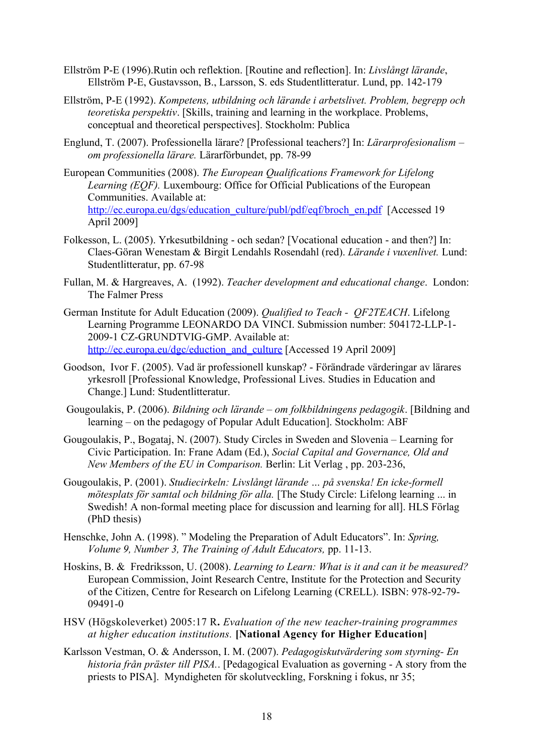- Ellström P-E (1996).Rutin och reflektion. [Routine and reflection]. In: *Livslångt lärande*, Ellström P-E, Gustavsson, B., Larsson, S. eds Studentlitteratur. Lund, pp. 142-179
- Ellström, P-E (1992). *Kompetens, utbildning och lärande i arbetslivet. Problem, begrepp och teoretiska perspektiv*. [Skills, training and learning in the workplace. Problems, conceptual and theoretical perspectives]. Stockholm: Publica
- Englund, T. (2007). Professionella lärare? [Professional teachers?] In: *Lärarprofesionalism – om professionella lärare.* Lärarförbundet, pp. 78-99
- European Communities (2008). *The European Qualifications Framework for Lifelong Learning (EQF).* Luxembourg: Office for Official Publications of the European Communities. Available at: [http://ec.europa.eu/dgs/education\\_culture/publ/pdf/eqf/broch\\_en.pdf](http://ec.europa.eu/dgs/education_culture/publ/pdf/eqf/broch_en.pdf) [Accessed 19 April 2009]
- Folkesson, L. (2005). Yrkesutbildning och sedan? [Vocational education and then?] In: Claes-Göran Wenestam & Birgit Lendahls Rosendahl (red). *Lärande i vuxenlivet.* Lund: Studentlitteratur, pp. 67-98
- Fullan, M. & Hargreaves, A. (1992). *Teacher development and educational change*. London: The Falmer Press
- German Institute for Adult Education (2009). *Qualified to Teach QF2TEACH*. Lifelong Learning Programme LEONARDO DA VINCI. Submission number: 504172-LLP-1- 2009-1 CZ-GRUNDTVIG-GMP. Available at: [http://ec.europa.eu/dgc/eduction\\_and\\_culture](http://ec.europa.eu/dgc/eduction_and_culture) [Accessed 19 April 2009]
- Goodson, Ivor F. (2005). Vad är professionell kunskap? Förändrade värderingar av lärares yrkesroll [Professional Knowledge, Professional Lives. Studies in Education and Change.] Lund: Studentlitteratur.
- Gougoulakis, P. (2006). *Bildning och lärande om folkbildningens pedagogik*. [Bildning and learning – on the pedagogy of Popular Adult Education]. Stockholm: ABF
- Gougoulakis, P., Bogataj, N. (2007). Study Circles in Sweden and Slovenia Learning for Civic Participation. In: Frane Adam (Ed.), *Social Capital and Governance, Old and New Members of the EU in Comparison.* Berlin: Lit Verlag , pp. 203-236,
- Gougoulakis, P. (2001). *Studiecirkeln: Livslångt lärande … på svenska! En icke-formell mötesplats för samtal och bildning för alla.* [The Study Circle: Lifelong learning ... in Swedish! A non-formal meeting place for discussion and learning for all]. HLS Förlag (PhD thesis)
- Henschke, John A. (1998). " Modeling the Preparation of Adult Educators". In: *Spring, Volume 9, Number 3, The Training of Adult Educators,* pp. 11-13.
- Hoskins, B. & Fredriksson, U. (2008). *Learning to Learn: What is it and can it be measured?* European Commission, Joint Research Centre, Institute for the Protection and Security of the Citizen, Centre for Research on Lifelong Learning (CRELL). ISBN: 978-92-79- 09491-0
- HSV (Högskoleverket) 2005:17 R**.** *Evaluation of the new teacher-training programmes at higher education institutions.* **[National Agency for Higher Education]**
- Karlsson Vestman, O. & Andersson, I. M. (2007). *Pedagogiskutvärdering som styrning- En historia från präster till PISA.*. [Pedagogical Evaluation as governing - A story from the priests to PISA]. Myndigheten för skolutveckling, Forskning i fokus, nr 35;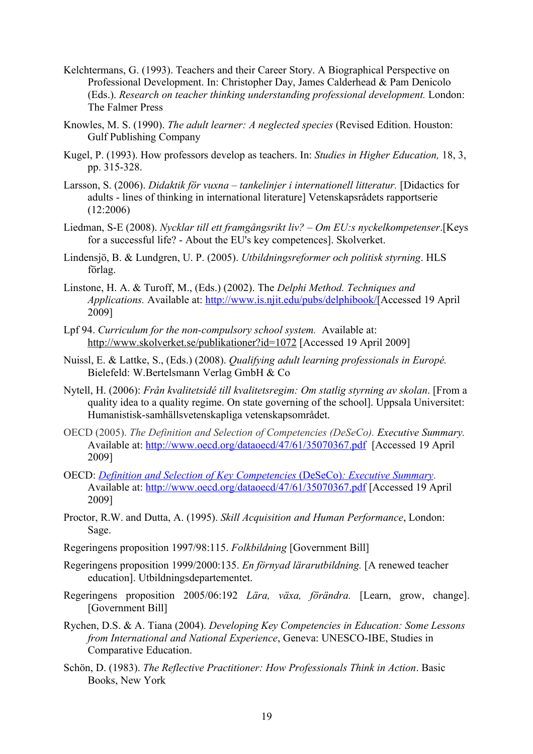- Kelchtermans, G. (1993). Teachers and their Career Story. A Biographical Perspective on Professional Development. In: Christopher Day, James Calderhead & Pam Denicolo (Eds.). *Research on teacher thinking understanding professional development.* London: The Falmer Press
- Knowles, M. S. (1990). *The adult learner: A neglected species* (Revised Edition. Houston: Gulf Publishing Company
- Kugel, P. (1993). How professors develop as teachers. In: *Studies in Higher Education,* 18, 3, pp. 315-328.
- Larsson, S. (2006). *Didaktik för vuxna tankelinjer i internationell litteratur.* [Didactics for adults - lines of thinking in international literature] Vetenskapsrådets rapportserie (12:2006)
- Liedman, S-E (2008). *Nycklar till ett framgångsrikt liv? Om EU:s nyckelkompetenser*.[Keys for a successful life? - About the EU's key competences]. Skolverket.
- Lindensjö, B. & Lundgren, U. P. (2005). *Utbildningsreformer och politisk styrning*. HLS förlag.
- Linstone, H. A. & Turoff, M., (Eds.) (2002). The *Delphi Method. Techniques and Applications.* Available at: [http://www.is.njit.edu/pubs/delphibook/\[](http://www.is.njit.edu/pubs/delphibook/)Accessed 19 April 2009]
- Lpf 94. *Curriculum for the non-compulsory school system.* Available at: <http://www.skolverket.se/publikationer?id=1072>[Accessed 19 April 2009]
- Nuissl, E. & Lattke, S., (Eds.) (2008). *Qualifying adult learning professionals in Europé.* Bielefeld: W.Bertelsmann Verlag GmbH & Co
- Nytell, H. (2006): *Från kvalitetsidé till kvalitetsregim: Om statlig styrning av skolan*. [From a quality idea to a quality regime. On state governing of the school]. Uppsala Universitet: Humanistisk-samhällsvetenskapliga vetenskapsområdet.
- OECD (2005). *The Definition and Selection of Competencies (DeSeCo). Executive Summary.* Available at:<http://www.oecd.org/dataoecd/47/61/35070367.pdf> [Accessed 19 April 2009]
- OECD: *[Definition and Selection of Key Competencies](http://www.oecd.org/dataoecd/47/61/35070367.pdf)* (DeSeCo) *: Executive Summary*. Available at:<http://www.oecd.org/dataoecd/47/61/35070367.pdf>[Accessed 19 April 2009]
- Proctor, R.W. and Dutta, A. (1995). *Skill Acquisition and Human Performance*, London: Sage.
- Regeringens proposition 1997/98:115. *Folkbildning* [Government Bill]
- Regeringens proposition 1999/2000:135. *En förnyad lärarutbildning.* [A renewed teacher education]. Utbildningsdepartementet.
- Regeringens proposition 2005/06:192 *Lära, växa, förändra.* [Learn, grow, change]. [Government Bill]
- Rychen, D.S. & A. Tiana (2004). *Developing Key Competencies in Education: Some Lessons from International and National Experience*, Geneva: UNESCO-IBE, Studies in Comparative Education.
- Schön, D. (1983). *[The Reflective Practitioner: How Professionals Think in Action](http://sopper.dk/speciale/book/book49.html)*. Basic Books, New York